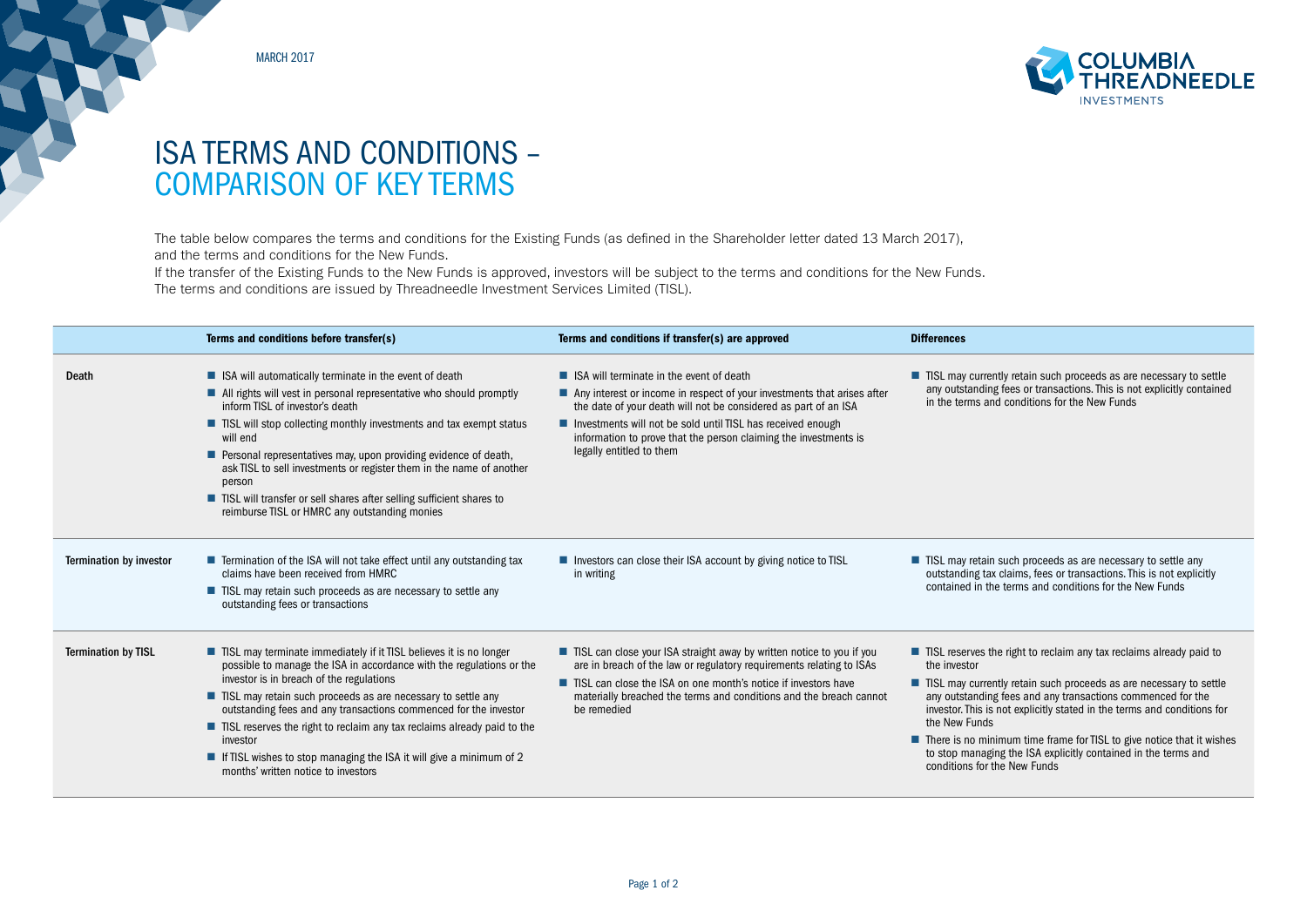MARCH 2017



## ISA TERMS AND CONDITIONS – COMPARISON OF KEY TERMS

The table below compares the terms and conditions for the Existing Funds (as defined in the Shareholder letter dated 13 March 2017), and the terms and conditions for the New Funds.

If the transfer of the Existing Funds to the New Funds is approved, investors will be subject to the terms and conditions for the New Funds. The terms and conditions are issued by Threadneedle Investment Services Limited (TISL).

| ■ ISA will terminate in the event of death<br>All rights will vest in personal representative who should promptly<br>Any interest or income in respect of your investments that arises after<br>the date of your death will not be considered as part of an ISA<br>Investments will not be sold until TISL has received enough<br>■ TISL will stop collecting monthly investments and tax exempt status<br>information to prove that the person claiming the investments is<br>legally entitled to them<br>Personal representatives may, upon providing evidence of death, | ■ TISL may currently retain such proceeds as are necessary to settle<br>any outstanding fees or transactions. This is not explicitly contained<br>in the terms and conditions for the New Funds                                                                                                                                                                     |
|----------------------------------------------------------------------------------------------------------------------------------------------------------------------------------------------------------------------------------------------------------------------------------------------------------------------------------------------------------------------------------------------------------------------------------------------------------------------------------------------------------------------------------------------------------------------------|---------------------------------------------------------------------------------------------------------------------------------------------------------------------------------------------------------------------------------------------------------------------------------------------------------------------------------------------------------------------|
|                                                                                                                                                                                                                                                                                                                                                                                                                                                                                                                                                                            |                                                                                                                                                                                                                                                                                                                                                                     |
|                                                                                                                                                                                                                                                                                                                                                                                                                                                                                                                                                                            |                                                                                                                                                                                                                                                                                                                                                                     |
| ask TISL to sell investments or register them in the name of another                                                                                                                                                                                                                                                                                                                                                                                                                                                                                                       |                                                                                                                                                                                                                                                                                                                                                                     |
|                                                                                                                                                                                                                                                                                                                                                                                                                                                                                                                                                                            |                                                                                                                                                                                                                                                                                                                                                                     |
| ■ Termination of the ISA will not take effect until any outstanding tax<br>Investors can close their ISA account by giving notice to TISL<br>in writing                                                                                                                                                                                                                                                                                                                                                                                                                    | ■ TISL may retain such proceeds as are necessary to settle any<br>outstanding tax claims, fees or transactions. This is not explicitly<br>contained in the terms and conditions for the New Funds                                                                                                                                                                   |
| ■ TISL may retain such proceeds as are necessary to settle any                                                                                                                                                                                                                                                                                                                                                                                                                                                                                                             |                                                                                                                                                                                                                                                                                                                                                                     |
| ■ TISL may terminate immediately if it TISL believes it is no longer<br>possible to manage the ISA in accordance with the regulations or the                                                                                                                                                                                                                                                                                                                                                                                                                               | ■ TISL reserves the right to reclaim any tax reclaims already paid to<br>the investor                                                                                                                                                                                                                                                                               |
| ■ TISL may retain such proceeds as are necessary to settle any<br>outstanding fees and any transactions commenced for the investor<br>be remedied                                                                                                                                                                                                                                                                                                                                                                                                                          | ■ TISL may currently retain such proceeds as are necessary to settle<br>any outstanding fees and any transactions commenced for the<br>investor. This is not explicitly stated in the terms and conditions for                                                                                                                                                      |
| ■ TISL reserves the right to reclaim any tax reclaims already paid to the<br><b>If TISL</b> wishes to stop managing the ISA it will give a minimum of 2                                                                                                                                                                                                                                                                                                                                                                                                                    | the New Funds<br>$\blacksquare$ There is no minimum time frame for TISL to give notice that it wishes<br>to stop managing the ISA explicitly contained in the terms and<br>conditions for the New Funds                                                                                                                                                             |
|                                                                                                                                                                                                                                                                                                                                                                                                                                                                                                                                                                            | ■ TISL will transfer or sell shares after selling sufficient shares to<br>■ TISL can close your ISA straight away by written notice to you if you<br>are in breach of the law or regulatory requirements relating to ISAs<br>■ TISL can close the ISA on one month's notice if investors have<br>materially breached the terms and conditions and the breach cannot |